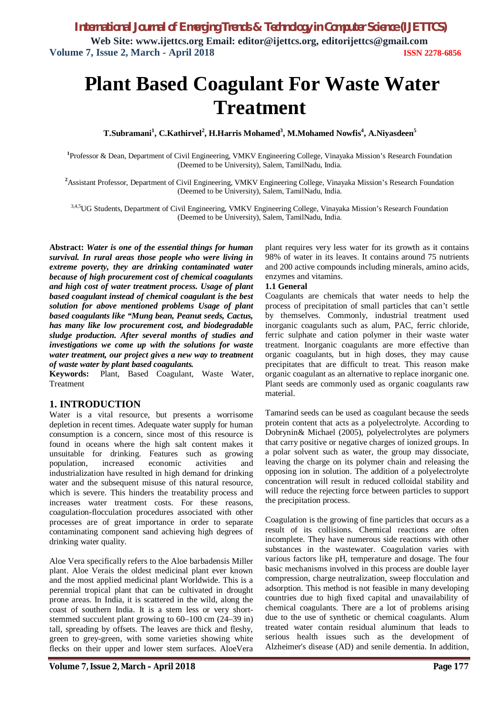# **Plant Based Coagulant For Waste Water Treatment**

**T.Subramani<sup>1</sup> , C.Kathirvel<sup>2</sup> , H.Harris Mohamed<sup>3</sup> , M.Mohamed Nowfis<sup>4</sup> , A.Niyasdeen<sup>5</sup>**

**1** Professor & Dean, Department of Civil Engineering, VMKV Engineering College, Vinayaka Mission's Research Foundation (Deemed to be University), Salem, TamilNadu, India.

<sup>2</sup>Assistant Professor, Department of Civil Engineering, VMKV Engineering College, Vinayaka Mission's Research Foundation (Deemed to be University), Salem, TamilNadu, India.

3,4,5UG Students, Department of Civil Engineering, VMKV Engineering College, Vinayaka Mission's Research Foundation (Deemed to be University), Salem, TamilNadu, India.

**Abstract:** *Water is one of the essential things for human survival. In rural areas those people who were living in extreme poverty, they are drinking contaminated water because of high procurement cost of chemical coagulants and high cost of water treatment process. Usage of plant based coagulant instead of chemical coagulant is the best solution for above mentioned problems Usage of plant based coagulants like "Mung bean, Peanut seeds, Cactus, has many like low procurement cost, and biodegradable sludge production. After several months of studies and investigations we come up with the solutions for waste water treatment, our project gives a new way to treatment of waste water by plant based coagulants.*

**Keywords:** Plant, Based Coagulant, Waste Water, **Treatment** 

#### **1. INTRODUCTION**

Water is a vital resource, but presents a worrisome depletion in recent times. Adequate water supply for human consumption is a concern, since most of this resource is found in oceans where the high salt content makes it unsuitable for drinking. Features such as growing population, increased economic activities and industrialization have resulted in high demand for drinking water and the subsequent misuse of this natural resource, which is severe. This hinders the treatability process and increases water treatment costs. For these reasons, coagulation-flocculation procedures associated with other processes are of great importance in order to separate contaminating component sand achieving high degrees of drinking water quality.

Aloe Vera specifically refers to the Aloe barbadensis Miller plant. Aloe Verais the oldest medicinal plant ever known and the most applied medicinal plant Worldwide. This is a perennial tropical plant that can be cultivated in drought prone areas. In India, it is scattered in the wild, along the coast of southern India. It is a stem less or very shortstemmed succulent plant growing to 60–100 cm (24–39 in) tall, spreading by offsets. The leaves are thick and fleshy, green to grey-green, with some varieties showing white flecks on their upper and lower stem surfaces. AloeVera plant requires very less water for its growth as it contains 98% of water in its leaves. It contains around 75 nutrients and 200 active compounds including minerals, amino acids, enzymes and vitamins.

#### **1.1 General**

Coagulants are chemicals that water needs to help the process of precipitation of small particles that can't settle by themselves. Commonly, industrial treatment used inorganic coagulants such as alum, PAC, ferric chloride, ferric sulphate and cation polymer in their waste water treatment. Inorganic coagulants are more effective than organic coagulants, but in high doses, they may cause precipitates that are difficult to treat. This reason make organic coagulant as an alternative to replace inorganic one. Plant seeds are commonly used as organic coagulants raw material.

Tamarind seeds can be used as coagulant because the seeds protein content that acts as a polyelectrolyte. According to Dobrynin& Michael (2005), polyelectrolytes are polymers that carry positive or negative charges of ionized groups. In a polar solvent such as water, the group may dissociate, leaving the charge on its polymer chain and releasing the opposing ion in solution. The addition of a polyelectrolyte concentration will result in reduced colloidal stability and will reduce the rejecting force between particles to support the precipitation process.

Coagulation is the growing of fine particles that occurs as a result of its collisions. Chemical reactions are often incomplete. They have numerous side reactions with other substances in the wastewater. Coagulation varies with various factors like pH, temperature and dosage. The four basic mechanisms involved in this process are double layer compression, charge neutralization, sweep flocculation and adsorption. This method is not feasible in many developing countries due to high fixed capital and unavailability of chemical coagulants. There are a lot of problems arising due to the use of synthetic or chemical coagulants. Alum treated water contain residual aluminum that leads to serious health issues such as the development of Alzheimer's disease (AD) and senile dementia. In addition,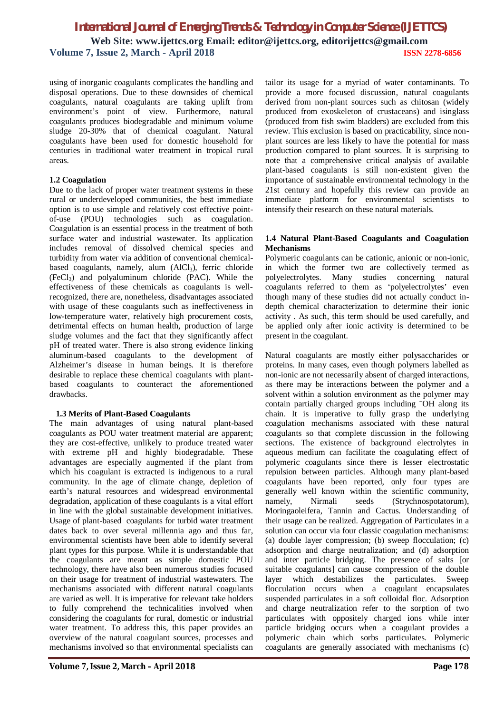using of inorganic coagulants complicates the handling and disposal operations. Due to these downsides of chemical coagulants, natural coagulants are taking uplift from environment's point of view. Furthermore, natural coagulants produces biodegradable and minimum volume sludge 20-30% that of chemical coagulant. Natural coagulants have been used for domestic household for centuries in traditional water treatment in tropical rural areas.

#### **1.2 Coagulation**

Due to the lack of proper water treatment systems in these rural or underdeveloped communities, the best immediate option is to use simple and relatively cost effective pointof-use (POU) technologies such as coagulation. Coagulation is an essential process in the treatment of both surface water and industrial wastewater. Its application includes removal of dissolved chemical species and turbidity from water via addition of conventional chemicalbased coagulants, namely, alum  $(AICI<sub>3</sub>)$ , ferric chloride  $(FeCl<sub>3</sub>)$  and polyaluminum chloride (PAC). While the effectiveness of these chemicals as coagulants is wellrecognized, there are, nonetheless, disadvantages associated with usage of these coagulants such as ineffectiveness in low-temperature water, relatively high procurement costs, detrimental effects on human health, production of large sludge volumes and the fact that they significantly affect pH of treated water. There is also strong evidence linking aluminum-based coagulants to the development of Alzheimer's disease in human beings. It is therefore desirable to replace these chemical coagulants with plantbased coagulants to counteract the aforementioned drawbacks.

#### **1.3 Merits of Plant-Based Coagulants**

The main advantages of using natural plant-based coagulants as POU water treatment material are apparent; they are cost-effective, unlikely to produce treated water with extreme pH and highly biodegradable. These advantages are especially augmented if the plant from which his coagulant is extracted is indigenous to a rural community. In the age of climate change, depletion of earth's natural resources and widespread environmental degradation, application of these coagulants is a vital effort in line with the global sustainable development initiatives. Usage of plant-based coagulants for turbid water treatment dates back to over several millennia ago and thus far, environmental scientists have been able to identify several plant types for this purpose. While it is understandable that the coagulants are meant as simple domestic POU technology, there have also been numerous studies focused on their usage for treatment of industrial wastewaters. The mechanisms associated with different natural coagulants are varied as well. It is imperative for relevant take holders to fully comprehend the technicalities involved when considering the coagulants for rural, domestic or industrial water treatment. To address this, this paper provides an overview of the natural coagulant sources, processes and mechanisms involved so that environmental specialists can

tailor its usage for a myriad of water contaminants. To provide a more focused discussion, natural coagulants derived from non-plant sources such as chitosan (widely produced from exoskeleton of crustaceans) and isinglass (produced from fish swim bladders) are excluded from this review. This exclusion is based on practicability, since nonplant sources are less likely to have the potential for mass production compared to plant sources. It is surprising to note that a comprehensive critical analysis of available plant-based coagulants is still non-existent given the importance of sustainable environmental technology in the 21st century and hopefully this review can provide an immediate platform for environmental scientists to intensify their research on these natural materials.

#### **1.4 Natural Plant-Based Coagulants and Coagulation Mechanisms**

Polymeric coagulants can be cationic, anionic or non-ionic, in which the former two are collectively termed as polyelectrolytes. Many studies concerning natural coagulants referred to them as 'polyelectrolytes' even though many of these studies did not actually conduct indepth chemical characterization to determine their ionic activity . As such, this term should be used carefully, and be applied only after ionic activity is determined to be present in the coagulant.

Natural coagulants are mostly either polysaccharides or proteins. In many cases, even though polymers labelled as non-ionic are not necessarily absent of charged interactions, as there may be interactions between the polymer and a solvent within a solution environment as the polymer may contain partially charged groups including –OH along its chain. It is imperative to fully grasp the underlying coagulation mechanisms associated with these natural coagulants so that complete discussion in the following sections. The existence of background electrolytes in aqueous medium can facilitate the coagulating effect of polymeric coagulants since there is lesser electrostatic repulsion between particles. Although many plant-based coagulants have been reported, only four types are generally well known within the scientific community, namely, Nirmali seeds (Strychnospotatorum), Moringaoleifera, Tannin and Cactus. Understanding of their usage can be realized. Aggregation of Particulates in a solution can occur via four classic coagulation mechanisms: (a) double layer compression; (b) sweep flocculation; (c) adsorption and charge neutralization; and (d) adsorption and inter particle bridging. The presence of salts [or suitable coagulants] can cause compression of the double layer which destabilizes the particulates. Sweep flocculation occurs when a coagulant encapsulates suspended particulates in a soft colloidal floc. Adsorption and charge neutralization refer to the sorption of two particulates with oppositely charged ions while inter particle bridging occurs when a coagulant provides a polymeric chain which sorbs particulates. Polymeric coagulants are generally associated with mechanisms (c)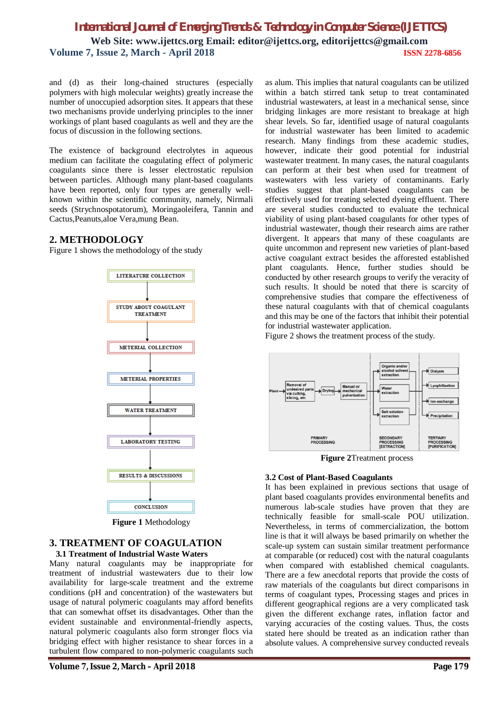and (d) as their long-chained structures (especially polymers with high molecular weights) greatly increase the number of unoccupied adsorption sites. It appears that these two mechanisms provide underlying principles to the inner workings of plant based coagulants as well and they are the focus of discussion in the following sections.

The existence of background electrolytes in aqueous medium can facilitate the coagulating effect of polymeric coagulants since there is lesser electrostatic repulsion between particles. Although many plant-based coagulants have been reported, only four types are generally wellknown within the scientific community, namely, Nirmali seeds (Strychnospotatorum), Moringaoleifera, Tannin and Cactus,Peanuts,aloe Vera,mung Bean.

#### **2. METHODOLOGY**

Figure 1 shows the methodology of the study



**Figure 1** Methodology

#### **3. TREATMENT OF COAGULATION 3.1 Treatment of Industrial Waste Waters**

Many natural coagulants may be inappropriate for treatment of industrial wastewaters due to their low availability for large-scale treatment and the extreme conditions (pH and concentration) of the wastewaters but usage of natural polymeric coagulants may afford benefits that can somewhat offset its disadvantages. Other than the evident sustainable and environmental-friendly aspects, natural polymeric coagulants also form stronger flocs via bridging effect with higher resistance to shear forces in a turbulent flow compared to non-polymeric coagulants such as alum. This implies that natural coagulants can be utilized within a batch stirred tank setup to treat contaminated industrial wastewaters, at least in a mechanical sense, since bridging linkages are more resistant to breakage at high shear levels. So far, identified usage of natural coagulants for industrial wastewater has been limited to academic research. Many findings from these academic studies, however, indicate their good potential for industrial wastewater treatment. In many cases, the natural coagulants can perform at their best when used for treatment of wastewaters with less variety of contaminants. Early studies suggest that plant-based coagulants can be effectively used for treating selected dyeing effluent. There are several studies conducted to evaluate the technical viability of using plant-based coagulants for other types of industrial wastewater, though their research aims are rather divergent. It appears that many of these coagulants are quite uncommon and represent new varieties of plant-based active coagulant extract besides the afforested established plant coagulants. Hence, further studies should be conducted by other research groups to verify the veracity of such results. It should be noted that there is scarcity of comprehensive studies that compare the effectiveness of these natural coagulants with that of chemical coagulants and this may be one of the factors that inhibit their potential for industrial wastewater application.

Figure 2 shows the treatment process of the study.



**Figure 2**Treatment process

#### **3.2 Cost of Plant-Based Coagulants**

It has been explained in previous sections that usage of plant based coagulants provides environmental benefits and numerous lab-scale studies have proven that they are technically feasible for small-scale POU utilization. Nevertheless, in terms of commercialization, the bottom line is that it will always be based primarily on whether the scale-up system can sustain similar treatment performance at comparable (or reduced) cost with the natural coagulants when compared with established chemical coagulants. There are a few anecdotal reports that provide the costs of raw materials of the coagulants but direct comparisons in terms of coagulant types, Processing stages and prices in different geographical regions are a very complicated task given the different exchange rates, inflation factor and varying accuracies of the costing values. Thus, the costs stated here should be treated as an indication rather than absolute values. A comprehensive survey conducted reveals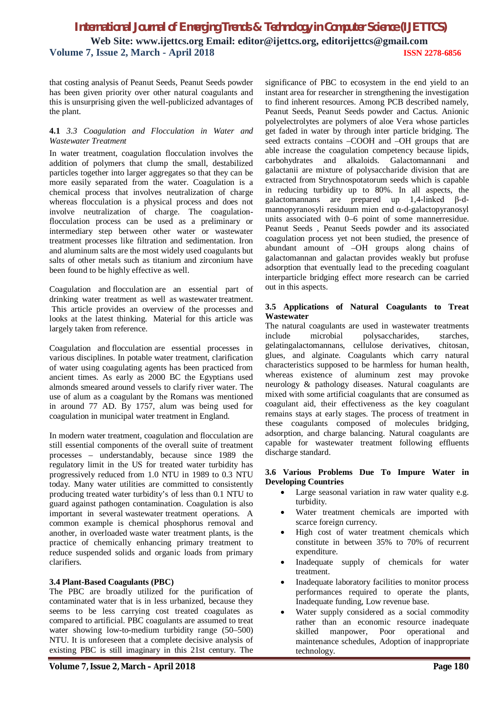that costing analysis of Peanut Seeds, Peanut Seeds powder has been given priority over other natural coagulants and this is unsurprising given the well-publicized advantages of the plant.

#### **4.1** *3.3 Coagulation and Flocculation in Water and Wastewater Treatment*

In water treatment, coagulation flocculation involves the addition of polymers that clump the small, destabilized particles together into larger aggregates so that they can be more easily separated from the water. Coagulation is a chemical process that involves neutralization of charge whereas flocculation is a physical process and does not involve neutralization of charge. The coagulationflocculation process can be used as a preliminary or intermediary step between other water or wastewater treatment processes like filtration and sedimentation. Iron and aluminum salts are the most widely used coagulants but salts of other metals such as titanium and zirconium have been found to be highly effective as well.

Coagulation and flocculation are an essential part of drinking water treatment as well as wastewater treatment. This article provides an overview of the processes and looks at the latest thinking. Material for this article was largely taken from reference.

Coagulation and flocculation are essential processes in various disciplines. In potable water treatment, clarification of water using coagulating agents has been practiced from ancient times. As early as 2000 BC the Egyptians used almonds smeared around vessels to clarify river water. The use of alum as a coagulant by the Romans was mentioned in around 77 AD. By 1757, alum was being used for coagulation in municipal water treatment in England.

In modern water treatment, coagulation and flocculation are still essential components of the overall suite of treatment processes – understandably, because since 1989 the regulatory limit in the US for treated water turbidity has progressively reduced from 1.0 NTU in 1989 to 0.3 NTU today. Many water utilities are committed to consistently producing treated water turbidity's of less than 0.1 NTU to guard against pathogen contamination. Coagulation is also important in several wastewater treatment operations. A common example is chemical phosphorus removal and another, in overloaded waste water treatment plants, is the practice of chemically enhancing primary treatment to reduce suspended solids and organic loads from primary clarifiers.

#### **3.4 Plant-Based Coagulants (PBC)**

The PBC are broadly utilized for the purification of contaminated water that is in less urbanized, because they seems to be less carrying cost treated coagulates as compared to artificial. PBC coagulants are assumed to treat water showing low-to-medium turbidity range (50–500) NTU. It is unforeseen that a complete decisive analysis of existing PBC is still imaginary in this 21st century. The

significance of PBC to ecosystem in the end yield to an instant area for researcher in strengthening the investigation to find inherent resources. Among PCB described namely, Peanut Seeds, Peanut Seeds powder and Cactus. Anionic polyelectrolytes are polymers of aloe Vera whose particles get faded in water by through inter particle bridging. The seed extracts contains –COOH and –OH groups that are able increase the coagulation competency because lipids, carbohydrates and alkaloids. Galactomannani and galactanii are mixture of polysaccharide division that are extracted from Strychnospotatorum seeds which is capable in reducing turbidity up to 80%. In all aspects, the galactomannans are prepared up 1,4-linked β-dmannopyranosyli residuum mien end α-d-galactopyranosyl units associated with 0–6 point of some mannerresidue. Peanut Seeds , Peanut Seeds powder and its associated coagulation process yet not been studied, the presence of abundant amount of –OH groups along chains of galactomannan and galactan provides weakly but profuse adsorption that eventually lead to the preceding coagulant interparticle bridging effect more research can be carried out in this aspects.

#### **3.5 Applications of Natural Coagulants to Treat Wastewater**

The natural coagulants are used in wastewater treatments include microbial polysaccharides, starches, gelatingalactomannans, cellulose derivatives, chitosan, glues, and alginate. Coagulants which carry natural characteristics supposed to be harmless for human health, whereas existence of aluminum zest may provoke neurology & pathology diseases. Natural coagulants are mixed with some artificial coagulants that are consumed as coagulant aid, their effectiveness as the key coagulant remains stays at early stages. The process of treatment in these coagulants composed of molecules bridging, adsorption, and charge balancing. Natural coagulants are capable for wastewater treatment following effluents discharge standard.

#### **3.6 Various Problems Due To Impure Water in Developing Countries**

- Large seasonal variation in raw water quality e.g. turbidity.
- Water treatment chemicals are imported with scarce foreign currency.
- High cost of water treatment chemicals which constitute in between 35% to 70% of recurrent expenditure.
- Inadequate supply of chemicals for water treatment.
- Inadequate laboratory facilities to monitor process performances required to operate the plants, Inadequate funding, Low revenue base.
- Water supply considered as a social commodity rather than an economic resource inadequate skilled manpower, Poor operational and maintenance schedules, Adoption of inappropriate technology.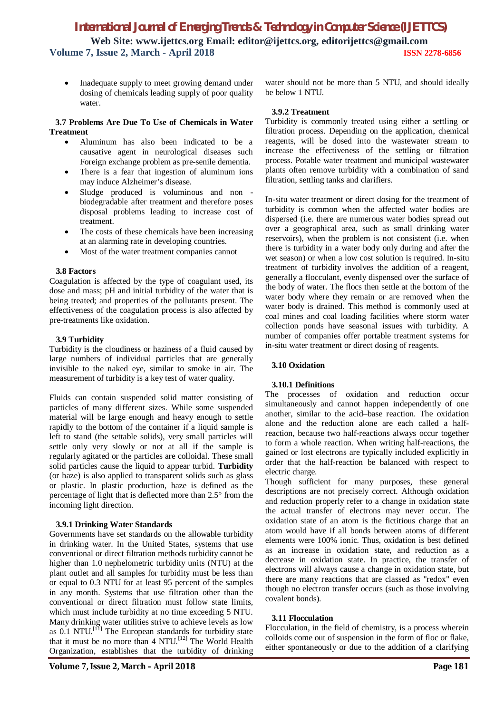Inadequate supply to meet growing demand under dosing of chemicals leading supply of poor quality water.

#### **3.7 Problems Are Due To Use of Chemicals in Water Treatment**

- Aluminum has also been indicated to be a causative agent in neurological diseases such Foreign exchange problem as pre-senile dementia.
- There is a fear that ingestion of aluminum ions may induce Alzheimer's disease.
- Sludge produced is voluminous and non biodegradable after treatment and therefore poses disposal problems leading to increase cost of treatment.
- The costs of these chemicals have been increasing at an alarming rate in developing countries.
- Most of the water treatment companies cannot

#### **3.8 Factors**

Coagulation is affected by the type of coagulant used, its dose and mass; pH and initial turbidity of the water that is being treated; and properties of the pollutants present. The effectiveness of the coagulation process is also affected by pre-treatments like oxidation.

#### **3.9 Turbidity**

Turbidity is the cloudiness or haziness of a fluid caused by large numbers of individual particles that are generally invisible to the naked eye, similar to smoke in air. The measurement of turbidity is a key test of water quality.

Fluids can contain suspended solid matter consisting of particles of many different sizes. While some suspended material will be large enough and heavy enough to settle rapidly to the bottom of the container if a liquid sample is left to stand (the settable solids), very small particles will settle only very slowly or not at all if the sample is regularly agitated or the particles are colloidal. These small solid particles cause the liquid to appear turbid. **Turbidity** (or haze) is also applied to transparent solids such as glass or plastic. In plastic production, haze is defined as the percentage of light that is deflected more than 2.5° from the incoming light direction.

#### **3.9.1 Drinking Water Standards**

Governments have set standards on the allowable turbidity in drinking water. In the United States, systems that use conventional or direct filtration methods turbidity cannot be higher than 1.0 nephelometric turbidity units (NTU) at the plant outlet and all samples for turbidity must be less than or equal to 0.3 NTU for at least 95 percent of the samples in any month. Systems that use filtration other than the conventional or direct filtration must follow state limits, which must include turbidity at no time exceeding 5 NTU. Many drinking water utilities strive to achieve levels as low as  $0.1$  NTU.<sup>[11]</sup> The European standards for turbidity state that it must be no more than 4 NTU.[12] The World Health Organization, establishes that the turbidity of drinking

water should not be more than 5 NTU, and should ideally be below 1 NTU.

#### **3.9.2 Treatment**

Turbidity is commonly treated using either a settling or filtration process. Depending on the application, chemical reagents, will be dosed into the wastewater stream to increase the effectiveness of the settling or filtration process. Potable water treatment and municipal wastewater plants often remove turbidity with a combination of sand filtration, settling tanks and clarifiers.

In-situ water treatment or direct dosing for the treatment of turbidity is common when the affected water bodies are dispersed (i.e. there are numerous water bodies spread out over a geographical area, such as small drinking water reservoirs), when the problem is not consistent (i.e. when there is turbidity in a water body only during and after the wet season) or when a low cost solution is required. In-situ treatment of turbidity involves the addition of a reagent, generally a flocculant, evenly dispensed over the surface of the body of water. The flocs then settle at the bottom of the water body where they remain or are removed when the water body is drained. This method is commonly used at coal mines and coal loading facilities where storm water collection ponds have seasonal issues with turbidity. A number of companies offer portable treatment systems for in-situ water treatment or direct dosing of reagents.

#### **3.10 Oxidation**

#### **3.10.1 Definitions**

The processes of oxidation and reduction occur simultaneously and cannot happen independently of one another, similar to the acid–base reaction. The oxidation alone and the reduction alone are each called a halfreaction, because two half-reactions always occur together to form a whole reaction. When writing half-reactions, the gained or lost electrons are typically included explicitly in order that the half-reaction be balanced with respect to electric charge.

Though sufficient for many purposes, these general descriptions are not precisely correct. Although oxidation and reduction properly refer to a change in oxidation state the actual transfer of electrons may never occur. The oxidation state of an atom is the fictitious charge that an atom would have if all bonds between atoms of different elements were 100% ionic. Thus, oxidation is best defined as an increase in oxidation state, and reduction as a decrease in oxidation state. In practice, the transfer of electrons will always cause a change in oxidation state, but there are many reactions that are classed as "redox" even though no electron transfer occurs (such as those involving covalent bonds).

#### **3.11 Flocculation**

Flocculation, in the field of chemistry, is a process wherein colloids come out of suspension in the form of floc or flake, either spontaneously or due to the addition of a clarifying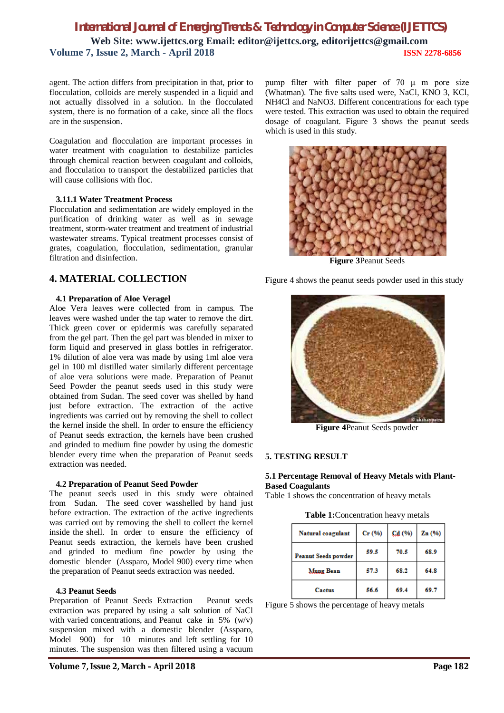agent. The action differs from precipitation in that, prior to flocculation, colloids are merely suspended in a liquid and not actually dissolved in a solution. In the flocculated system, there is no formation of a cake, since all the flocs are in the suspension.

Coagulation and flocculation are important processes in water treatment with coagulation to destabilize particles through chemical reaction between coagulant and colloids, and flocculation to transport the destabilized particles that will cause collisions with floc.

#### **3.11.1 Water Treatment Process**

Flocculation and sedimentation are widely employed in the purification of drinking water as well as in sewage treatment, storm-water treatment and treatment of industrial wastewater streams. Typical treatment processes consist of grates, coagulation, flocculation, sedimentation, granular filtration and disinfection.

## **4. MATERIAL COLLECTION**

#### **4.1 Preparation of Aloe Veragel**

Aloe Vera leaves were collected from in campus. The leaves were washed under the tap water to remove the dirt. Thick green cover or epidermis was carefully separated from the gel part. Then the gel part was blended in mixer to form liquid and preserved in glass bottles in refrigerator. 1% dilution of aloe vera was made by using 1ml aloe vera gel in 100 ml distilled water similarly different percentage of aloe vera solutions were made. Preparation of Peanut Seed Powder the peanut seeds used in this study were obtained from Sudan. The seed cover was shelled by hand just before extraction. The extraction of the active ingredients was carried out by removing the shell to collect the kernel inside the shell. In order to ensure the efficiency of Peanut seeds extraction, the kernels have been crushed and grinded to medium fine powder by using the domestic blender every time when the preparation of Peanut seeds extraction was needed.

#### **4.2 Preparation of Peanut Seed Powder**

The peanut seeds used in this study were obtained from Sudan. The seed cover wasshelled by hand just before extraction. The extraction of the active ingredients was carried out by removing the shell to collect the kernel inside the shell. In order to ensure the efficiency of Peanut seeds extraction, the kernels have been crushed and grinded to medium fine powder by using the domestic blender (Assparo, Model 900) every time when the preparation of Peanut seeds extraction was needed.

#### **4.3 Peanut Seeds**

Preparation of Peanut Seeds Extraction Peanut seeds extraction was prepared by using a salt solution of NaCl with varied concentrations, and Peanut cake in  $5\%$  (w/v) suspension mixed with a domestic blender (Assparo, Model 900) for 10 minutes and left settling for 10 minutes. The suspension was then filtered using a vacuum

pump filter with filter paper of 70 μ m pore size (Whatman). The five salts used were, NaCl, KNO 3, KCl, NH4Cl and NaNO3. Different concentrations for each type were tested. This extraction was used to obtain the required dosage of coagulant. Figure 3 shows the peanut seeds which is used in this study.



**Figure 3**Peanut Seeds

Figure 4 shows the peanut seeds powder used in this study



**Figure 4**Peanut Seeds powder

#### **5. TESTING RESULT**

#### **5.1 Percentage Removal of Heavy Metals with Plant-Based Coagulants**

Table 1 shows the concentration of heavy metals

**Table 1:**Concentration heavy metals

| Natural coagulant          | Cr(%) | Cd (%) | Zn(%) |
|----------------------------|-------|--------|-------|
| <b>Peanut Seeds powder</b> | 59.5  | 70.5   | 68.9  |
| Mung Bean                  | 57.3  | 68.2   | 64.8  |
| Cactus                     | 56.6  | 69.4   | 69.7  |

Figure 5 shows the percentage of heavy metals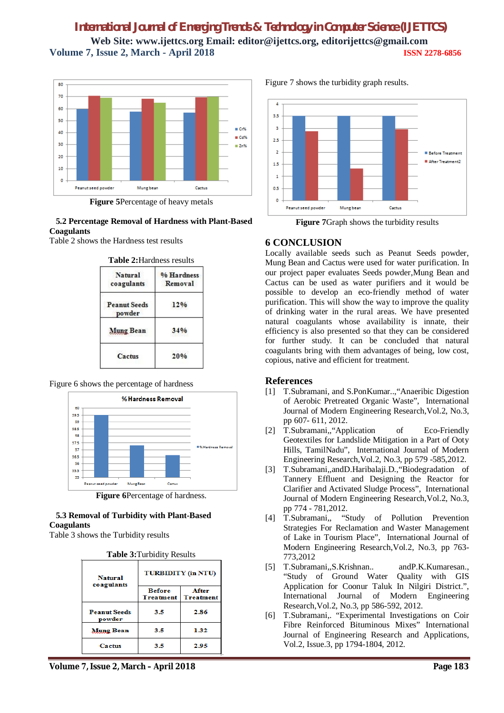

**Figure 5**Percentage of heavy metals

#### **5.2 Percentage Removal of Hardness with Plant-Based Coagulants**

Table 2 shows the Hardness test results

| Natural<br>coagulants         | % Hardness<br>Removal |
|-------------------------------|-----------------------|
| <b>Peanut Seeds</b><br>powder | 12%                   |
| Mung Bean                     | 34%                   |
| Cactus                        | 20%                   |

Figure 6 shows the percentage of hardness



**Figure 6**Percentage of hardness.

## **5.3 Removal of Turbidity with Plant-Based Coagulants**

Table 3 shows the Turbidity results

| <b>Natural</b><br>coagulants  | <b>TURBIDITY</b> (in NTU)         |                           |  |  |
|-------------------------------|-----------------------------------|---------------------------|--|--|
|                               | <b>Before</b><br><b>Treatment</b> | After<br><b>Treatment</b> |  |  |
| <b>Peanut Seeds</b><br>powder | 3.5                               | 2.86                      |  |  |
| Mung Bean                     | 3.5                               | 1.32                      |  |  |
| Cactus                        | 3.5                               | 2.95                      |  |  |

Figure 7 shows the turbidity graph results.



**Figure 7**Graph shows the turbidity results

## **6 CONCLUSION**

Locally available seeds such as Peanut Seeds powder, Mung Bean and Cactus were used for water purification. In our project paper evaluates Seeds powder,Mung Bean and Cactus can be used as water purifiers and it would be possible to develop an eco-friendly method of water purification. This will show the way to improve the quality of drinking water in the rural areas. We have presented natural coagulants whose availability is innate, their efficiency is also presented so that they can be considered for further study. It can be concluded that natural coagulants bring with them advantages of being, low cost, copious, native and efficient for treatment.

## **References**

- [1] T.Subramani, and S.PonKumar..,"Anaeribic Digestion of Aerobic Pretreated Organic Waste", International Journal of Modern Engineering Research,Vol.2, No.3, pp 607- 611, 2012.
- [2] T.Subramani,,"Application of Eco-Friendly Geotextiles for Landslide Mitigation in a Part of Ooty Hills, TamilNadu", International Journal of Modern Engineering Research,Vol.2, No.3, pp 579 -585,2012.
- [3] T.Subramani,,andD.Haribalaji.D.,"Biodegradation of Tannery Effluent and Designing the Reactor for Clarifier and Activated Sludge Process", International Journal of Modern Engineering Research,Vol.2, No.3, pp 774 - 781,2012.
- [4] T.Subramani,, "Study of Pollution Prevention Strategies For Reclamation and Waster Management of Lake in Tourism Place", International Journal of Modern Engineering Research,Vol.2, No.3, pp 763- 773,2012
- [5] T.Subramani,,S.Krishnan.. andP.K.Kumaresan., "Study of Ground Water Quality with GIS Application for Coonur Taluk In Nilgiri District.", International Journal of Modern Engineering Research,Vol.2, No.3, pp 586-592, 2012.
- [6] T.Subramani,. "Experimental Investigations on Coir Fibre Reinforced Bituminous Mixes" International Journal of Engineering Research and Applications, Vol.2, Issue.3, pp 1794-1804, 2012.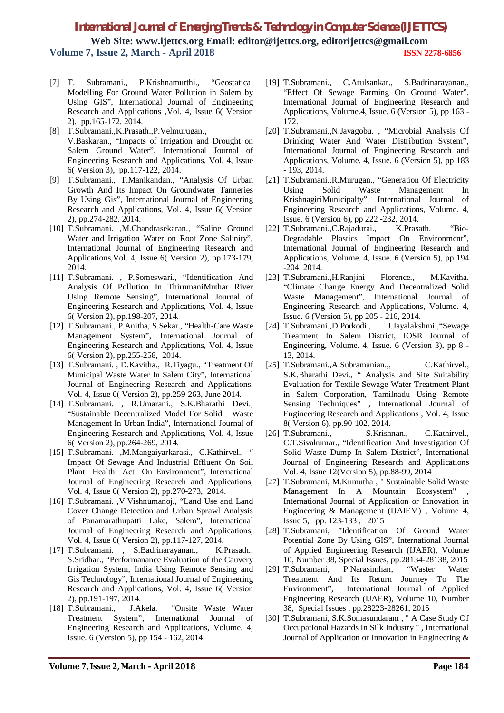- [7] T. Subramani., P.Krishnamurthi., "Geostatical Modelling For Ground Water Pollution in Salem by Using GIS", International Journal of Engineering Research and Applications ,Vol. 4, Issue 6( Version 2), pp.165-172, 2014.
- [8] T.Subramani.,K.Prasath.,P.Velmurugan., V.Baskaran., "Impacts of Irrigation and Drought on Salem Ground Water", International Journal of Engineering Research and Applications, Vol. 4, Issue 6( Version 3), pp.117-122, 2014.
- [9] T.Subramani., T.Manikandan., "Analysis Of Urban Growth And Its Impact On Groundwater Tanneries By Using Gis", International Journal of Engineering Research and Applications, Vol. 4, Issue 6( Version 2), pp.274-282, 2014.
- [10] T.Subramani. ,M.Chandrasekaran., "Saline Ground Water and Irrigation Water on Root Zone Salinity", International Journal of Engineering Research and Applications,Vol. 4, Issue 6( Version 2), pp.173-179, 2014.
- [11] T.Subramani. , P.Someswari., "Identification And Analysis Of Pollution In ThirumaniMuthar River Using Remote Sensing", International Journal of Engineering Research and Applications, Vol. 4, Issue 6( Version 2), pp.198-207, 2014.
- [12] T.Subramani., P.Anitha, S.Sekar., "Health-Care Waste Management System", International Journal of Engineering Research and Applications, Vol. 4, Issue 6( Version 2), pp.255-258, 2014.
- [13] T.Subramani. , D.Kavitha., R.Tiyagu., "Treatment Of Municipal Waste Water In Salem City", International Journal of Engineering Research and Applications, Vol. 4, Issue 6( Version 2), pp.259-263, June 2014.
- [14] T.Subramani. , R.Umarani., S.K.Bharathi Devi., "Sustainable Decentralized Model For Solid Waste Management In Urban India", International Journal of Engineering Research and Applications, Vol. 4, Issue 6( Version 2), pp.264-269, 2014.
- [15] T.Subramani. ,M.Mangaiyarkarasi., C.Kathirvel., " Impact Of Sewage And Industrial Effluent On Soil Plant Health Act On Environment", International Journal of Engineering Research and Applications, Vol. 4, Issue 6( Version 2), pp.270-273, 2014.
- [16] T.Subramani. , V. Vishnumanoj., "Land Use and Land Cover Change Detection and Urban Sprawl Analysis of Panamarathupatti Lake, Salem", International Journal of Engineering Research and Applications, Vol. 4, Issue 6( Version 2), pp.117-127, 2014.
- [17] T.Subramani. , S.Badrinarayanan., K.Prasath., S.Sridhar., "Performanance Evaluation of the Cauvery Irrigation System, India Using Remote Sensing and Gis Technology", International Journal of Engineering Research and Applications, Vol. 4, Issue 6( Version 2), pp.191-197, 2014.
- [18] T.Subramani., J.Akela. "Onsite Waste Water Treatment System", International Journal of Engineering Research and Applications, Volume. 4, Issue. 6 (Version 5), pp 154 - 162, 2014.
- [19] T.Subramani., C.Arulsankar., S.Badrinarayanan., "Effect Of Sewage Farming On Ground Water", International Journal of Engineering Research and Applications, Volume.4, Issue. 6 (Version 5), pp 163 - 172.
- [20] T.Subramani.,N.Jayagobu. , "Microbial Analysis Of Drinking Water And Water Distribution System", International Journal of Engineering Research and Applications, Volume. 4, Issue. 6 (Version 5), pp 183 - 193, 2014.
- [21] T.Subramani.,R.Murugan., "Generation Of Electricity Using Solid Waste Management In KrishnagiriMunicipalty", International Journal of Engineering Research and Applications, Volume. 4, Issue. 6 (Version 6), pp 222 -232, 2014.
- [22] T.Subramani.,C.Rajadurai., K.Prasath. "Bio-Degradable Plastics Impact On Environment", International Journal of Engineering Research and Applications, Volume. 4, Issue. 6 (Version 5), pp 194 -204, 2014.
- [23] T.Subramani.,H.Ranjini Florence., M.Kavitha. "Climate Change Energy And Decentralized Solid Waste Management", International Journal of Engineering Research and Applications, Volume. 4, Issue. 6 (Version 5), pp 205 - 216, 2014.
- [24] T.Subramani.,D.Porkodi., J.Jayalakshmi., "Sewage Treatment In Salem District, IOSR Journal of Engineering, Volume. 4, Issue. 6 (Version 3), pp 8 - 13, 2014.
- [25] T.Subramani.,A.Subramanian.,, C.Kathirvel., S.K.Bharathi Devi., " Analysis and Site Suitability Evaluation for Textile Sewage Water Treatment Plant in Salem Corporation, Tamilnadu Using Remote Sensing Techniques" , International Journal of Engineering Research and Applications , Vol. 4, Issue 8( Version 6), pp.90-102, 2014.
- [26] T.Subramani., S.Krishnan., C.Kathirvel., C.T.Sivakumar., "Identification And Investigation Of Solid Waste Dump In Salem District", International Journal of Engineering Research and Applications Vol. 4, Issue 12(Version 5), pp.88-99, 2014
- [27] T.Subramani, M.Kumutha , " Sustainable Solid Waste Management In A Mountain Ecosystem" International Journal of Application or Innovation in Engineering & Management (IJAIEM) , Volume 4, Issue 5, pp. 123-133 , 2015
- [28] T.Subramani, "Identification Of Ground Water Potential Zone By Using GIS", International Journal of Applied Engineering Research (IJAER), Volume 10, Number 38, Special Issues, pp.28134-28138, 2015<br>T.Subramani, P.Narasimhan, "Waster Water
- [29] T.Subramani, P.Narasimhan, "Waster Water Treatment And Its Return Journey To The Environment", International Journal of Applied Engineering Research (IJAER), Volume 10, Number 38, Special Issues , pp.28223-28261, 2015
- [30] T.Subramani, S.K.Somasundaram , " A Case Study Of Occupational Hazards In Silk Industry " , International Journal of Application or Innovation in Engineering &